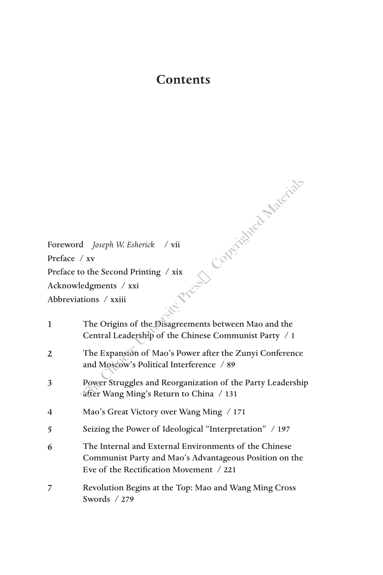## **Contents**

Copyrighted Materials

Foreword *Joseph W. Esherick* / vii Preface / xv Preface to the Second Printing / xix Acknowledgments / xxi Abbreviations / xxiii 1 The Precis

| $\mathbf{1}$             | The Origins of the Disagreements between Mao and the<br>Central Leadership of the Chinese Communist Party / 1                                              |
|--------------------------|------------------------------------------------------------------------------------------------------------------------------------------------------------|
| 2                        | The Expansion of Mao's Power after the Zunyi Conference<br>and Moscow's Political Interference / 89                                                        |
| 3                        | Power Struggles and Reorganization of the Party Leadership<br>after Wang Ming's Return to China / 131                                                      |
| $\overline{\mathcal{A}}$ | Mao's Great Victory over Wang Ming / 171                                                                                                                   |
| 5                        | Seizing the Power of Ideological "Interpretation" / 197                                                                                                    |
| 6                        | The Internal and External Environments of the Chinese<br>Communist Party and Mao's Advantageous Position on the<br>Eve of the Rectification Movement / 221 |
| 7                        | Revolution Begins at the Top: Mao and Wang Ming Cross<br>Swords $/279$                                                                                     |